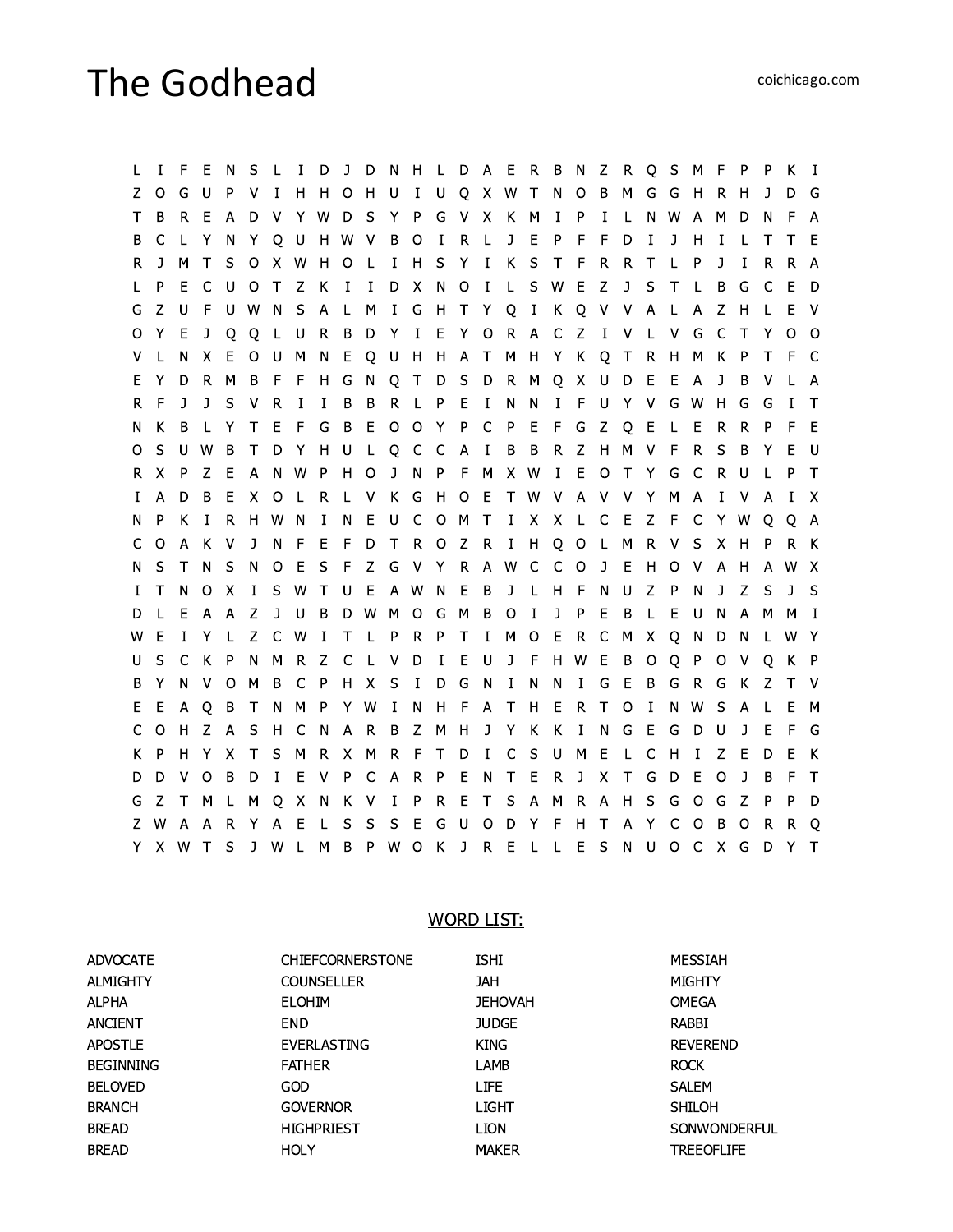## The Godhead

L I F E N S L I D J D N H L D A E R B N Z R Q S M F P P K I Z O G U P V I H H O H U I U Q X W T N O B M G G H R H J D G T B R E A D V Y W D S Y P G V X K M I P I L N W A M D N F A B C L Y N Y Q U H W V B O I R L J E P F F D I J H I L T T E R J M T S O X W H O L I H S Y I K S T F R R T L P J I R R A L P E C U O T Z K I I D X N O I L S W E Z J S T L B G C E D G Z U F U W N S A L M I G H T Y Q I K Q V V A L A Z H L E V O Y E J Q Q L U R B D Y I E Y O R A C Z I V L V G C T Y O O V L N X E O U M N E Q U H H A T M H Y K Q T R H M K P T F C E Y D R M B F F H G N Q T D S D R M Q X U D E E A J B V L A R F J J S V R I I B B R L P E I N N I F U Y V G W H G G I T N K B L Y T E F G B E O O Y P C P E F G Z Q E L E R R P F E O S U W B T D Y H U L Q C C A I B B R Z H M V F R S B Y E U R X P Z E A N W P H O J N P F M X W I E O T Y G C R U L P T I A D B E X O L R L V K G H O E T W V A V V Y M A I V A I X N P K I R H W N I N E U C O M T I X X L C E Z F C Y W Q Q A C O A K V J N F E F D T R O Z R I H Q O L M R V S X H P R K N S T N S N O E S F Z G V Y R A W C C O J E H O V A H A W X I T N O X I S W T U E A W N E B J L H F N U Z P N J Z S J S D L E A A Z J U B D W M O G M B O I J P E B L E U N A M M I W E I Y L Z C W I T L P R P T I M O E R C M X Q N D N L W Y U S C K P N M R Z C L V D I E U J F H W E B O Q P O V Q K P B Y N V O M B C P H X S I D G N I N N I G E B G R G K Z T V E E A Q B T N M P Y W I N H F A T H E R T O I N W S A L E M C O H Z A S H C N A R B Z M H J Y K K I N G E G D U J E F G K P H Y X T S M R X M R F T D I C S U M E L C H I Z E D E K D D V O B D I E V P C A R P E N T E R J X T G D E O J B F T G Z T M L M Q X N K V I P R E T S A M R A H S G O G Z P P D Z W A A R Y A E L S S S E G U O D Y F H T A Y C O B O R R Q Y X W T S J W L M B P W O K J R E L L E S N U O C X G D Y T

## WORD LIST:

| <b>ADVOCATE</b>  | <b>CHIEFCORNERSTONE</b> | <b>ISHI</b>    | <b>MESSIAH</b>      |
|------------------|-------------------------|----------------|---------------------|
| <b>ALMIGHTY</b>  | <b>COUNSELLER</b>       | <b>JAH</b>     | <b>MIGHTY</b>       |
| <b>ALPHA</b>     | <b>ELOHIM</b>           | <b>JEHOVAH</b> | <b>OMEGA</b>        |
| <b>ANCIENT</b>   | <b>END</b>              | <b>JUDGE</b>   | RABBI               |
| <b>APOSTLE</b>   | <b>EVERLASTING</b>      | <b>KING</b>    | <b>REVEREND</b>     |
| <b>BEGINNING</b> | <b>FATHER</b>           | LAMB           | <b>ROCK</b>         |
| <b>BELOVED</b>   | GOD                     | <b>LIFE</b>    | SALEM               |
| <b>BRANCH</b>    | <b>GOVERNOR</b>         | LIGHT          | <b>SHILOH</b>       |
| <b>BREAD</b>     | <b>HIGHPRIEST</b>       | <b>LION</b>    | <b>SONWONDERFUL</b> |
| <b>BREAD</b>     | <b>HOLY</b>             | <b>MAKER</b>   | <b>TREEOFLIFE</b>   |